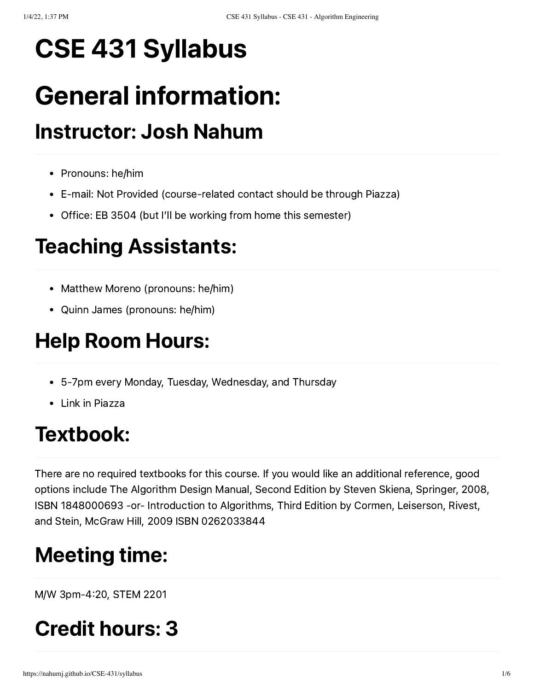# CSE 431 Syllabus

# General information:

## Instructor: Josh Nahum

- Pronouns: he/him
- E-mail: Not Provided (course-related contact should be through Piazza)
- Office: EB 3504 (but I'll be working from home this semester)

## Teaching Assistants:

- Matthew Moreno (pronouns: he/him)
- Quinn James (pronouns: he/him)

## Help Room Hours:

- 5-7pm every Monday, Tuesday, Wednesday, and Thursday
- Link in Piazza

### Textbook:

There are no required textbooks for this course. If you would like an additional reference, good options include The Algorithm Design Manual, Second Edition by Steven Skiena, Springer, 2008, ISBN 1848000693 -or- Introduction to Algorithms, Third Edition by Cormen, Leiserson, Rivest, and Stein, McGraw Hill, 2009 ISBN 0262033844

## Meeting time:

M/W 3pm-420, STEM 2201

## Credit hours: 3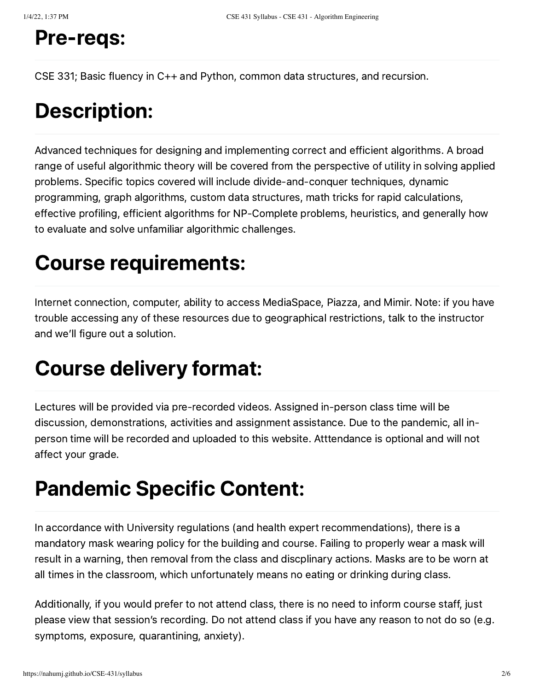#### Pre-reqs:

CSE 331; Basic fluency in C++ and Python, common data structures, and recursion.

#### Description:

Advanced techniques for designing and implementing correct and efficient algorithms. A broad range of useful algorithmic theory will be covered from the perspective of utility in solving applied problems. Specific topics covered will include divide-and-conquer techniques, dynamic programming, graph algorithms, custom data structures, math tricks for rapid calculations, effective profiling, efficient algorithms for NP-Complete problems, heuristics, and generally how to evaluate and solve unfamiliar algorithmic challenges.

#### Course requirements:

Internet connection, computer, ability to access MediaSpace, Piazza, and Mimir. Note: if you have trouble accessing any of these resources due to geographical restrictions, talk to the instructor and we'll figure out a solution.

#### Course delivery format:

Lectures will be provided via pre-recorded videos. Assigned in-person class time will be discussion, demonstrations, activities and assignment assistance. Due to the pandemic, all inperson time will be recorded and uploaded to this website. Atttendance is optional and will not affect your grade.

### Pandemic Specific Content:

In accordance with University regulations (and health expert recommendations), there is a mandatory mask wearing policy for the building and course. Failing to properly wear a mask will result in a warning, then removal from the class and discplinary actions. Masks are to be worn at all times in the classroom, which unfortunately means no eating or drinking during class.

Additionally, if you would prefer to not attend class, there is no need to inform course staff, just please view that session's recording. Do not attend class if you have any reason to not do so (e.g. symptoms, exposure, quarantining, anxiety).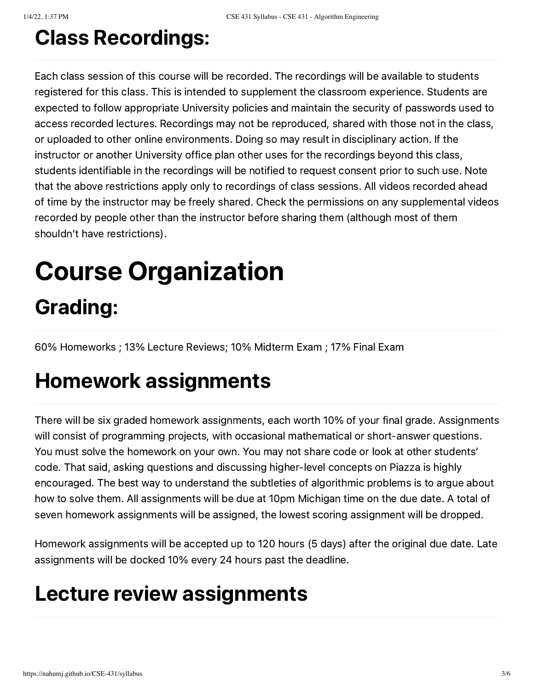## Class Recordings:

Each class session of this course will be recorded. The recordings will be available to students registered for this class. This is intended to supplement the classroom experience. Students are expected to follow appropriate University policies and maintain the security of passwords used to access recorded lectures. Recordings may not be reproduced, shared with those not in the class, or uploaded to other online environments. Doing so may result in disciplinary action. If the instructor or another University office plan other uses for the recordings beyond this class, students identifiable in the recordings will be notified to request consent prior to such use. Note that the above restrictions apply only to recordings of class sessions. All videos recorded ahead of time by the instructor may be freely shared. Check the permissions on any supplemental videos recorded by people other than the instructor before sharing them (although most of them shouldn't have restrictions).

# Course Organization Grading:

60% Homeworks ; 13% Lecture Reviews; 10% Midterm Exam ; 17% Final Exam

#### Homework assignments

There will be six graded homework assignments, each worth 10% of your final grade. Assignments will consist of programming projects, with occasional mathematical or short-answer questions. You must solve the homework on your own. You may not share code or look at other students' code. That said, asking questions and discussing higher-level concepts on Piazza is highly encouraged. The best way to understand the subtleties of algorithmic problems is to argue about how to solve them. All assignments will be due at 10pm Michigan time on the due date. A total of seven homework assignments will be assigned, the lowest scoring assignment will be dropped.

Homework assignments will be accepted up to 120 hours (5 days) after the original due date. Late assignments will be docked 10% every 24 hours past the deadline.

#### Lecture review assignments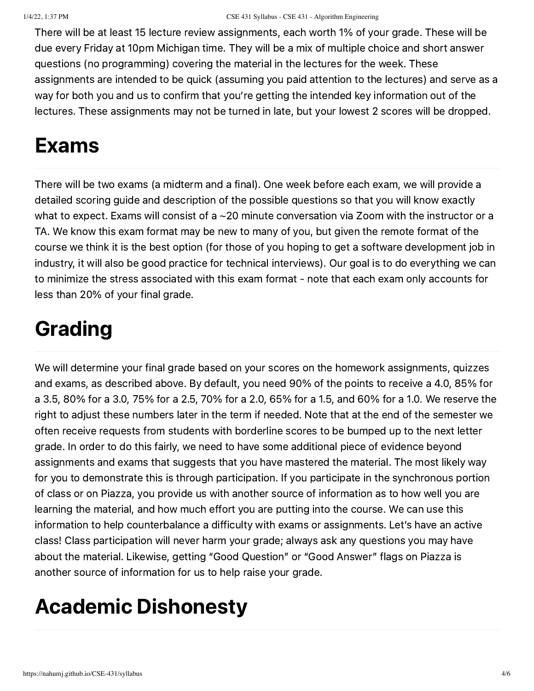There will be at least 15 lecture review assignments, each worth 1% of your grade. These will be due every Friday at 10pm Michigan time. They will be a mix of multiple choice and short answer questions (no programming) covering the material in the lectures for the week. These assignments are intended to be quick (assuming you paid attention to the lectures) and serve as a way for both you and us to confirm that you're getting the intended key information out of the lectures. These assignments may not be turned in late, but your lowest 2 scores will be dropped.

## Exams

There will be two exams (a midterm and a final). One week before each exam, we will provide a detailed scoring guide and description of the possible questions so that you will know exactly what to expect. Exams will consist of a ~20 minute conversation via Zoom with the instructor or a TA. We know this exam format may be new to many of you, but given the remote format of the course we think it is the best option (for those of you hoping to get a software development job in industry, it will also be good practice for technical interviews). Our goal is to do everything we can to minimize the stress associated with this exam format - note that each exam only accounts for less than 20% of your final grade.

## Grading

We will determine your final grade based on your scores on the homework assignments, quizzes and exams, as described above. By default, you need 90% of the points to receive a 4.0, 85% for a 3.5, 80% for a 3.0, 75% for a 2.5, 70% for a 2.0, 65% for a 1.5, and 60% for a 1.0. We reserve the right to adjust these numbers later in the term if needed. Note that at the end of the semester we often receive requests from students with borderline scores to be bumped up to the next letter grade. In order to do this fairly, we need to have some additional piece of evidence beyond assignments and exams that suggests that you have mastered the material. The most likely way for you to demonstrate this is through participation. If you participate in the synchronous portion of class or on Piazza, you provide us with another source of information as to how well you are learning the material, and how much effort you are putting into the course. We can use this information to help counterbalance a difficulty with exams or assignments. Let's have an active class! Class participation will never harm your grade; always ask any questions you may have about the material. Likewise, getting "Good Question" or "Good Answer" flags on Piazza is another source of information for us to help raise your grade.

## Academic Dishonesty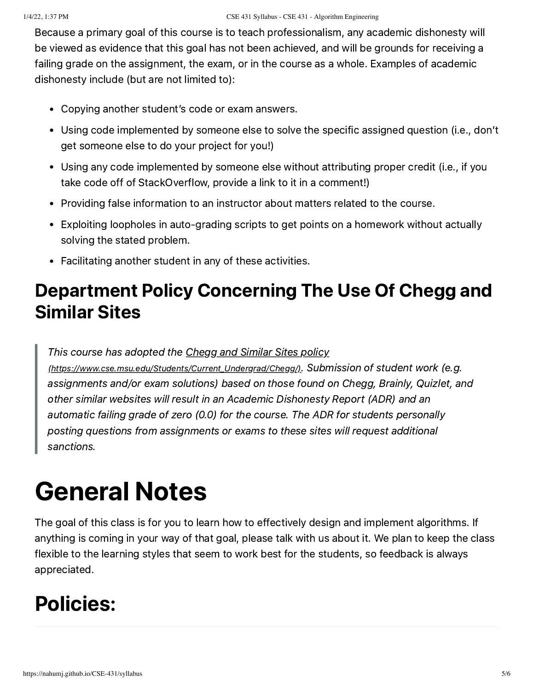Because a primary goal of this course is to teach professionalism, any academic dishonesty will be viewed as evidence that this goal has not been achieved, and will be grounds for receiving a failing grade on the assignment, the exam, or in the course as a whole. Examples of academic dishonesty include (but are not limited to):

- Copying another student's code or exam answers.
- Using code implemented by someone else to solve the specific assigned question (i.e., don't get someone else to do your project for you!)
- Using any code implemented by someone else without attributing proper credit (i.e., if you take code off of StackOverflow, provide a link to it in a comment!)
- Providing false information to an instructor about matters related to the course.
- Exploiting loopholes in auto-grading scripts to get points on a homework without actually solving the stated problem.
- Facilitating another student in any of these activities.

#### Department Policy Concerning The Use Of Chegg and Similar Sites

This course has adopted the Chegg and Similar Sites policy (https://www.cse.msu.edu/Students/Current Undergrad/Chegg/). Submission of student work (e.g. assignments and/or exam solutions) based on those found on Chegg, Brainly, Quizlet, and other similar websites will result in an Academic Dishonesty Report (ADR) and an automatic failing grade of zero (0.0) for the course. The ADR for students personally posting questions from assignments or exams to these sites will request additional sanctions.

# General Notes

The goal of this class is for you to learn how to effectively design and implement algorithms. If anything is coming in your way of that goal, please talk with us about it. We plan to keep the class flexible to the learning styles that seem to work best for the students, so feedback is always appreciated.

## Policies: